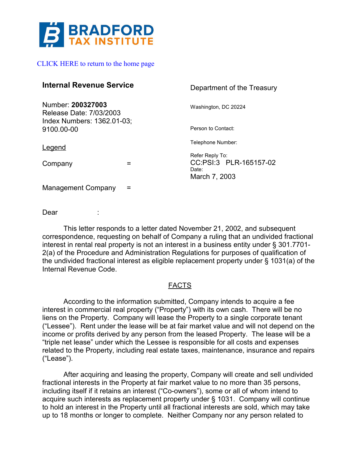

## [CLICK HERE to return to the home page](https://www.bradfordtaxinstitute.com)

| <b>Internal Revenue Service</b>                                            | Department of the Treasury      |
|----------------------------------------------------------------------------|---------------------------------|
| Number: 200327003<br>Release Date: 7/03/2003<br>Index Numbers: 1362.01-03; | Washington, DC 20224            |
| 9100.00-00                                                                 | Person to Contact:              |
| Legend                                                                     | Telephone Number:               |
|                                                                            | Refer Reply To:                 |
| Company                                                                    | CC:PSI:3 PLR-165157-02<br>Date: |
|                                                                            | March 7, 2003                   |
| <b>Management Company</b>                                                  |                                 |

Dear :

This letter responds to a letter dated November 21, 2002, and subsequent correspondence, requesting on behalf of Company a ruling that an undivided fractional interest in rental real property is not an interest in a business entity under § 301.7701- 2(a) of the Procedure and Administration Regulations for purposes of qualification of the undivided fractional interest as eligible replacement property under § 1031(a) of the Internal Revenue Code.

# **FACTS**

According to the information submitted, Company intends to acquire a fee interest in commercial real property ("Property") with its own cash. There will be no liens on the Property. Company will lease the Property to a single corporate tenant ("Lessee"). Rent under the lease will be at fair market value and will not depend on the income or profits derived by any person from the leased Property. The lease will be a "triple net lease" under which the Lessee is responsible for all costs and expenses related to the Property, including real estate taxes, maintenance, insurance and repairs ("Lease").

After acquiring and leasing the property, Company will create and sell undivided fractional interests in the Property at fair market value to no more than 35 persons, including itself if it retains an interest ("Co-owners"), some or all of whom intend to acquire such interests as replacement property under § 1031. Company will continue to hold an interest in the Property until all fractional interests are sold, which may take up to 18 months or longer to complete. Neither Company nor any person related to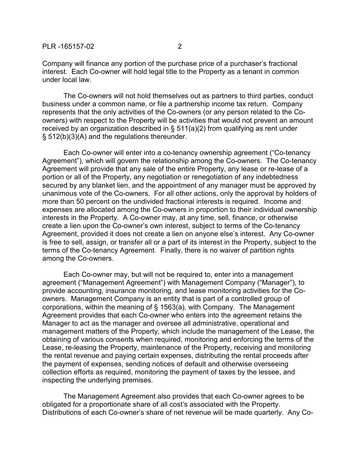Company will finance any portion of the purchase price of a purchaser's fractional interest. Each Co-owner will hold legal title to the Property as a tenant in common under local law.

The Co-owners will not hold themselves out as partners to third parties, conduct business under a common name, or file a partnership income tax return. Company represents that the only activities of the Co-owners (or any person related to the Coowners) with respect to the Property will be activities that would not prevent an amount received by an organization described in § 511(a)(2) from qualifying as rent under § 512(b)(3)(A) and the regulations thereunder.

Each Co-owner will enter into a co-tenancy ownership agreement ("Co-tenancy Agreement"), which will govern the relationship among the Co-owners. The Co-tenancy Agreement will provide that any sale of the entire Property, any lease or re-lease of a portion or all of the Property, any negotiation or renegotiation of any indebtedness secured by any blanket lien, and the appointment of any manager must be approved by unanimous vote of the Co-owners. For all other actions, only the approval by holders of more than 50 percent on the undivided fractional interests is required. Income and expenses are allocated among the Co-owners in proportion to their individual ownership interests in the Property. A Co-owner may, at any time, sell, finance, or otherwise create a lien upon the Co-owner's own interest, subject to terms of the Co-tenancy Agreement, provided it does not create a lien on anyone else's interest. Any Co-owner is free to sell, assign, or transfer all or a part of its interest in the Property, subject to the terms of the Co-tenancy Agreement. Finally, there is no waiver of partition rights among the Co-owners.

Each Co-owner may, but will not be required to, enter into a management agreement ("Management Agreement") with Management Company ("Manager"), to provide accounting, insurance monitoring, and lease monitoring activities for the Coowners. Management Company is an entity that is part of a controlled group of corporations, within the meaning of § 1563(a), with Company. The Management Agreement provides that each Co-owner who enters into the agreement retains the Manager to act as the manager and oversee all administrative, operational and management matters of the Property, which include the management of the Lease, the obtaining of various consents when required, monitoring and enforcing the terms of the Lease, re-leasing the Property, maintenance of the Property, receiving and monitoring the rental revenue and paying certain expenses, distributing the rental proceeds after the payment of expenses, sending notices of default and otherwise overseeing collection efforts as required, monitoring the payment of taxes by the lessee, and inspecting the underlying premises.

The Management Agreement also provides that each Co-owner agrees to be obligated for a proportionate share of all cost's associated with the Property. Distributions of each Co-owner's share of net revenue will be made quarterly. Any Co-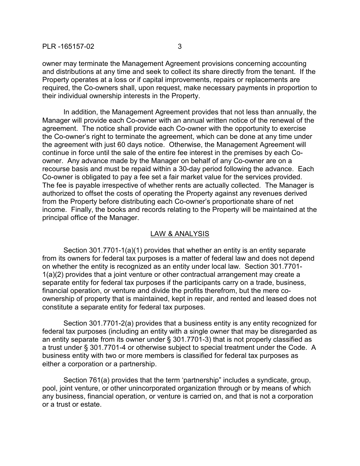## PLR -165157-02 3

owner may terminate the Management Agreement provisions concerning accounting and distributions at any time and seek to collect its share directly from the tenant. If the Property operates at a loss or if capital improvements, repairs or replacements are required, the Co-owners shall, upon request, make necessary payments in proportion to their individual ownership interests in the Property.

In addition, the Management Agreement provides that not less than annually, the Manager will provide each Co-owner with an annual written notice of the renewal of the agreement. The notice shall provide each Co-owner with the opportunity to exercise the Co-owner's right to terminate the agreement, which can be done at any time under the agreement with just 60 days notice. Otherwise, the Management Agreement will continue in force until the sale of the entire fee interest in the premises by each Coowner. Any advance made by the Manager on behalf of any Co-owner are on a recourse basis and must be repaid within a 30-day period following the advance. Each Co-owner is obligated to pay a fee set a fair market value for the services provided. The fee is payable irrespective of whether rents are actually collected. The Manager is authorized to offset the costs of operating the Property against any revenues derived from the Property before distributing each Co-owner's proportionate share of net income. Finally, the books and records relating to the Property will be maintained at the principal office of the Manager.

## LAW & ANALYSIS

Section 301.7701-1(a)(1) provides that whether an entity is an entity separate from its owners for federal tax purposes is a matter of federal law and does not depend on whether the entity is recognized as an entity under local law. Section 301.7701- 1(a)(2) provides that a joint venture or other contractual arrangement may create a separate entity for federal tax purposes if the participants carry on a trade, business, financial operation, or venture and divide the profits therefrom, but the mere coownership of property that is maintained, kept in repair, and rented and leased does not constitute a separate entity for federal tax purposes.

Section 301.7701-2(a) provides that a business entity is any entity recognized for federal tax purposes (including an entity with a single owner that may be disregarded as an entity separate from its owner under § 301.7701-3) that is not properly classified as a trust under § 301.7701-4 or otherwise subject to special treatment under the Code. A business entity with two or more members is classified for federal tax purposes as either a corporation or a partnership.

Section 761(a) provides that the term 'partnership" includes a syndicate, group, pool, joint venture, or other unincorporated organization through or by means of which any business, financial operation, or venture is carried on, and that is not a corporation or a trust or estate.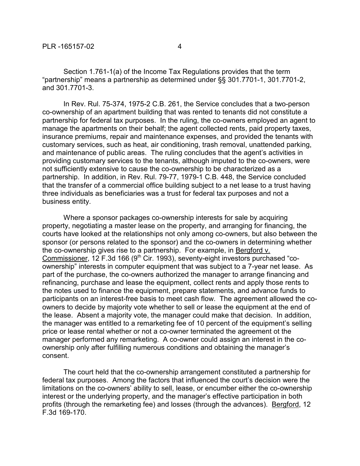Section 1.761-1(a) of the Income Tax Regulations provides that the term "partnership" means a partnership as determined under §§ 301.7701-1, 301.7701-2, and 301.7701-3.

In Rev. Rul. 75-374, 1975-2 C.B. 261, the Service concludes that a two-person co-ownership of an apartment building that was rented to tenants did not constitute a partnership for federal tax purposes. In the ruling, the co-owners employed an agent to manage the apartments on their behalf; the agent collected rents, paid property taxes, insurance premiums, repair and maintenance expenses, and provided the tenants with customary services, such as heat, air conditioning, trash removal, unattended parking, and maintenance of public areas. The ruling concludes that the agent's activities in providing customary services to the tenants, although imputed to the co-owners, were not sufficiently extensive to cause the co-ownership to be characterized as a partnership. In addition, in Rev. Rul. 79-77, 1979-1 C.B. 448, the Service concluded that the transfer of a commercial office building subject to a net lease to a trust having three individuals as beneficiaries was a trust for federal tax purposes and not a business entity.

Where a sponsor packages co-ownership interests for sale by acquiring property, negotiating a master lease on the property, and arranging for financing, the courts have looked at the relationships not only among co-owners, but also between the sponsor (or persons related to the sponsor) and the co-owners in determining whether the co-ownership gives rise to a partnership. For example, in Bergford v. Commissioner, 12 F.3d 166 (9<sup>th</sup> Cir. 1993), seventy-eight investors purchased "coownership" interests in computer equipment that was subject to a 7-year net lease. As part of the purchase, the co-owners authorized the manager to arrange financing and refinancing, purchase and lease the equipment, collect rents and apply those rents to the notes used to finance the equipment, prepare statements, and advance funds to participants on an interest-free basis to meet cash flow. The agreement allowed the coowners to decide by majority vote whether to sell or lease the equipment at the end of the lease. Absent a majority vote, the manager could make that decision. In addition, the manager was entitled to a remarketing fee of 10 percent of the equipment's selling price or lease rental whether or not a co-owner terminated the agreement ot the manager performed any remarketing. A co-owner could assign an interest in the coownership only after fulfilling numerous conditions and obtaining the manager's consent.

The court held that the co-ownership arrangement constituted a partnership for federal tax purposes. Among the factors that influenced the court's decision were the limitations on the co-owners' ability to sell, lease, or encumber either the co-ownership interest or the underlying property, and the manager's effective participation in both profits (through the remarketing fee) and losses (through the advances). Bergford, 12 F.3d 169-170.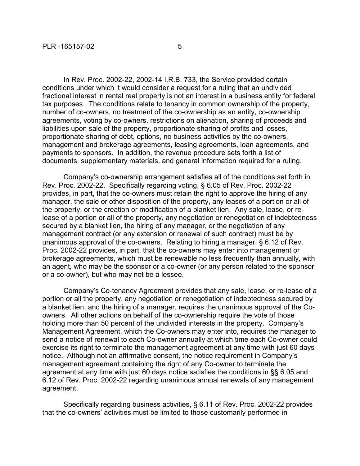In Rev. Proc. 2002-22, 2002-14 I.R.B. 733, the Service provided certain conditions under which it would consider a request for a ruling that an undivided fractional interest in rental real property is not an interest in a business entity for federal tax purposes. The conditions relate to tenancy in common ownership of the property, number of co-owners, no treatment of the co-ownership as an entity, co-ownership agreements, voting by co-owners, restrictions on alienation, sharing of proceeds and liabilities upon sale of the property, proportionate sharing of profits and losses, proportionate sharing of debt, options, no business activities by the co-owners, management and brokerage agreements, leasing agreements, loan agreements, and payments to sponsors. In addition, the revenue procedure sets forth a list of documents, supplementary materials, and general information required for a ruling.

Company's co-ownership arrangement satisfies all of the conditions set forth in Rev. Proc. 2002-22. Specifically regarding voting, § 6.05 of Rev. Proc. 2002-22 provides, in part, that the co-owners must retain the right to approve the hiring of any manager, the sale or other disposition of the property, any leases of a portion or all of the property, or the creation or modification of a blanket lien. Any sale, lease, or release of a portion or all of the property, any negotiation or renegotiation of indebtedness secured by a blanket lien, the hiring of any manager, or the negotiation of any management contract (or any extension or renewal of such contract) must be by unanimous approval of the co-owners. Relating to hiring a manager, § 6.12 of Rev. Proc. 2002-22 provides, in part, that the co-owners may enter into management or brokerage agreements, which must be renewable no less frequently than annually, with an agent, who may be the sponsor or a co-owner (or any person related to the sponsor or a co-owner), but who may not be a lessee.

Company's Co-tenancy Agreement provides that any sale, lease, or re-lease of a portion or all the property, any negotiation or renegotiation of indebtedness secured by a blanket lien, and the hiring of a manager, requires the unanimous approval of the Coowners. All other actions on behalf of the co-ownership require the vote of those holding more than 50 percent of the undivided interests in the property. Company's Management Agreement, which the Co-owners may enter into, requires the manager to send a notice of renewal to each Co-owner annually at which time each Co-owner could exercise its right to terminate the management agreement at any time with just 60 days notice. Although not an affirmative consent, the notice requirement in Company's management agreement containing the right of any Co-owner to terminate the agreement at any time with just 60 days notice satisfies the conditions in §§ 6.05 and 6.12 of Rev. Proc. 2002-22 regarding unanimous annual renewals of any management agreement.

Specifically regarding business activities, § 6.11 of Rev. Proc. 2002-22 provides that the co-owners' activities must be limited to those customarily performed in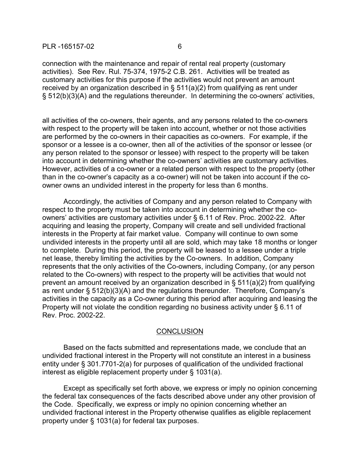## PLR -165157-02 6

connection with the maintenance and repair of rental real property (customary activities). See Rev. Rul. 75-374, 1975-2 C.B. 261. Activities will be treated as customary activities for this purpose if the activities would not prevent an amount received by an organization described in § 511(a)(2) from qualifying as rent under § 512(b)(3)(A) and the regulations thereunder. In determining the co-owners' activities,

all activities of the co-owners, their agents, and any persons related to the co-owners with respect to the property will be taken into account, whether or not those activities are performed by the co-owners in their capacities as co-owners. For example, if the sponsor or a lessee is a co-owner, then all of the activities of the sponsor or lessee (or any person related to the sponsor or lessee) with respect to the property will be taken into account in determining whether the co-owners' activities are customary activities. However, activities of a co-owner or a related person with respect to the property (other than in the co-owner's capacity as a co-owner) will not be taken into account if the coowner owns an undivided interest in the property for less than 6 months.

Accordingly, the activities of Company and any person related to Company with respect to the property must be taken into account in determining whether the coowners' activities are customary activities under § 6.11 of Rev. Proc. 2002-22. After acquiring and leasing the property, Company will create and sell undivided fractional interests in the Property at fair market value. Company will continue to own some undivided interests in the property until all are sold, which may take 18 months or longer to complete. During this period, the property will be leased to a lessee under a triple net lease, thereby limiting the activities by the Co-owners. In addition, Company represents that the only activities of the Co-owners, including Company, (or any person related to the Co-owners) with respect to the property will be activities that would not prevent an amount received by an organization described in § 511(a)(2) from qualifying as rent under § 512(b)(3)(A) and the regulations thereunder. Therefore, Company's activities in the capacity as a Co-owner during this period after acquiring and leasing the Property will not violate the condition regarding no business activity under § 6.11 of Rev. Proc. 2002-22.

## **CONCLUSION**

Based on the facts submitted and representations made, we conclude that an undivided fractional interest in the Property will not constitute an interest in a business entity under § 301.7701-2(a) for purposes of qualification of the undivided fractional interest as eligible replacement property under § 1031(a).

Except as specifically set forth above, we express or imply no opinion concerning the federal tax consequences of the facts described above under any other provision of the Code. Specifically, we express or imply no opinion concerning whether an undivided fractional interest in the Property otherwise qualifies as eligible replacement property under § 1031(a) for federal tax purposes.